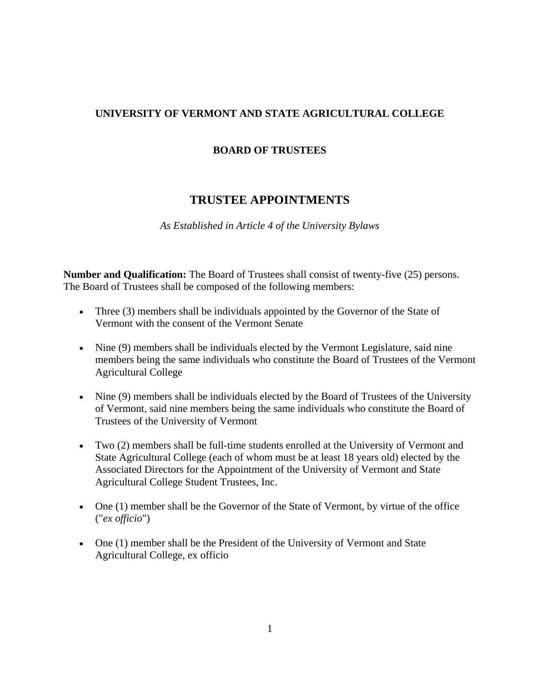## **UNIVERSITY OF VERMONT AND STATE AGRICULTURAL COLLEGE**

## **BOARD OF TRUSTEES**

## **TRUSTEE APPOINTMENTS**

*As Established in Article 4 of the University Bylaws*

**Number and Qualification:** The Board of Trustees shall consist of twenty-five (25) persons. The Board of Trustees shall be composed of the following members:

- Three (3) members shall be individuals appointed by the Governor of the State of Vermont with the consent of the Vermont Senate
- Nine (9) members shall be individuals elected by the Vermont Legislature, said nine members being the same individuals who constitute the Board of Trustees of the Vermont Agricultural College
- Nine (9) members shall be individuals elected by the Board of Trustees of the University of Vermont, said nine members being the same individuals who constitute the Board of Trustees of the University of Vermont
- Two (2) members shall be full-time students enrolled at the University of Vermont and State Agricultural College (each of whom must be at least 18 years old) elected by the Associated Directors for the Appointment of the University of Vermont and State Agricultural College Student Trustees, Inc.
- One (1) member shall be the Governor of the State of Vermont, by virtue of the office ("*ex officio*")
- One (1) member shall be the President of the University of Vermont and State Agricultural College, ex officio